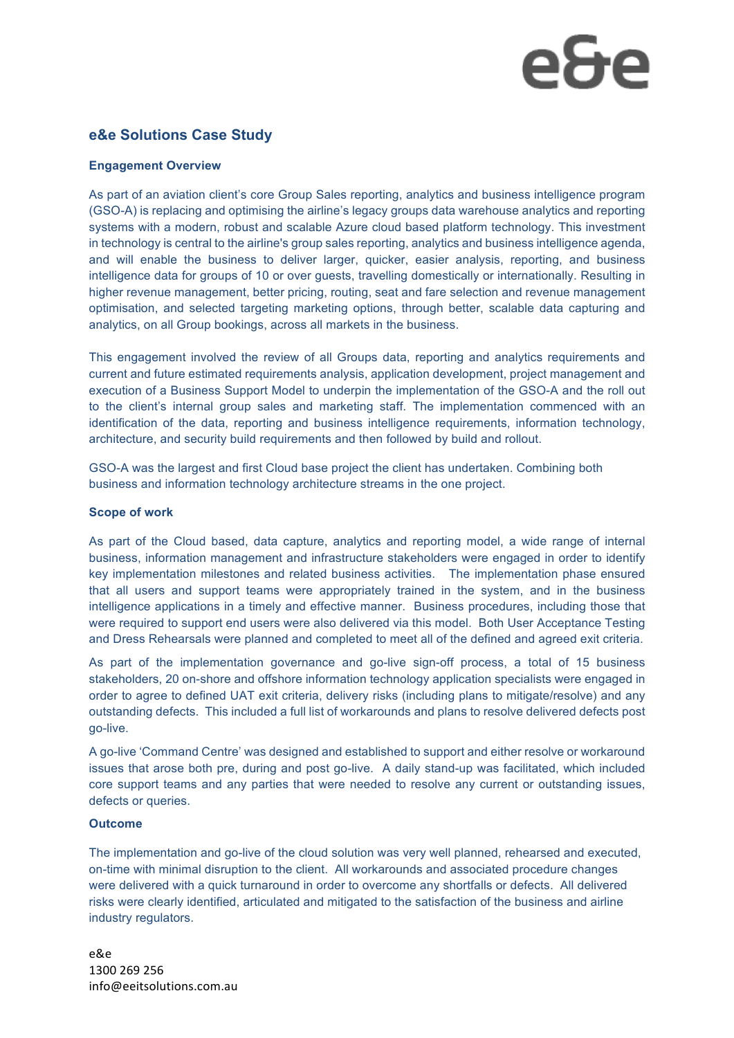# **e&e Solutions Case Study**

# **Engagement Overview**

As part of an aviation client's core Group Sales reporting, analytics and business intelligence program (GSO-A) is replacing and optimising the airline's legacy groups data warehouse analytics and reporting systems with a modern, robust and scalable Azure cloud based platform technology. This investment in technology is central to the airline's group sales reporting, analytics and business intelligence agenda, and will enable the business to deliver larger, quicker, easier analysis, reporting, and business intelligence data for groups of 10 or over guests, travelling domestically or internationally. Resulting in higher revenue management, better pricing, routing, seat and fare selection and revenue management optimisation, and selected targeting marketing options, through better, scalable data capturing and analytics, on all Group bookings, across all markets in the business.

This engagement involved the review of all Groups data, reporting and analytics requirements and current and future estimated requirements analysis, application development, project management and execution of a Business Support Model to underpin the implementation of the GSO-A and the roll out to the client's internal group sales and marketing staff. The implementation commenced with an identification of the data, reporting and business intelligence requirements, information technology, architecture, and security build requirements and then followed by build and rollout.

GSO-A was the largest and first Cloud base project the client has undertaken. Combining both business and information technology architecture streams in the one project.

## **Scope of work**

As part of the Cloud based, data capture, analytics and reporting model, a wide range of internal business, information management and infrastructure stakeholders were engaged in order to identify key implementation milestones and related business activities. The implementation phase ensured that all users and support teams were appropriately trained in the system, and in the business intelligence applications in a timely and effective manner. Business procedures, including those that were required to support end users were also delivered via this model. Both User Acceptance Testing and Dress Rehearsals were planned and completed to meet all of the defined and agreed exit criteria.

As part of the implementation governance and go-live sign-off process, a total of 15 business stakeholders, 20 on-shore and offshore information technology application specialists were engaged in order to agree to defined UAT exit criteria, delivery risks (including plans to mitigate/resolve) and any outstanding defects. This included a full list of workarounds and plans to resolve delivered defects post go-live.

A go-live 'Command Centre' was designed and established to support and either resolve or workaround issues that arose both pre, during and post go-live. A daily stand-up was facilitated, which included core support teams and any parties that were needed to resolve any current or outstanding issues, defects or queries.

## **Outcome**

The implementation and go-live of the cloud solution was very well planned, rehearsed and executed, on-time with minimal disruption to the client. All workarounds and associated procedure changes were delivered with a quick turnaround in order to overcome any shortfalls or defects. All delivered risks were clearly identified, articulated and mitigated to the satisfaction of the business and airline industry regulators.

e&e 1300 269 256 info@eeitsolutions.com.au